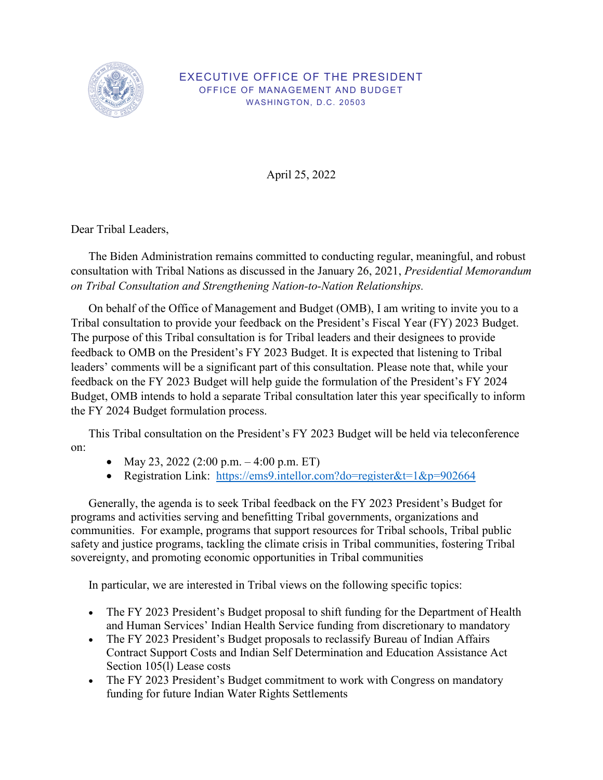

## EXECUTIVE OFFICE OF THE PRESIDENT OFFICE OF MANAGEMENT AND BUDGET WASHINGTON, D.C. 20503

April 25, 2022

Dear Tribal Leaders,

The Biden Administration remains committed to conducting regular, meaningful, and robust consultation with Tribal Nations as discussed in the January 26, 2021, *Presidential Memorandum on Tribal Consultation and Strengthening Nation-to-Nation Relationships.* 

 On behalf of the Office of Management and Budget (OMB), I am writing to invite you to a Budget, OMB intends to hold a separate Tribal consultation later this year specifically to inform Tribal consultation to provide your feedback on the President's Fiscal Year (FY) 2023 Budget. The purpose of this Tribal consultation is for Tribal leaders and their designees to provide feedback to OMB on the [President's FY 2023 Budget.](https://www.whitehouse.gov/omb/budget/) It is expected that listening to Tribal leaders' comments will be a significant part of this consultation. Please note that, while your feedback on the FY 2023 Budget will help guide the formulation of the President's FY 2024 the FY 2024 Budget formulation process.

This Tribal consultation on the President's FY 2023 Budget will be held via teleconference on:

- May 23, 2022 (2:00 p.m.  $-4:00$  p.m. ET)
- Registration Link: https://ems9.intellor.com?do=register&t=1&p=902664

Generally, the agenda is to seek Tribal feedback on the FY 2023 President's Budget for programs and activities serving and benefitting Tribal governments, organizations and communities. For example, programs that support resources for Tribal schools, Tribal public safety and justice programs, tackling the climate crisis in Tribal communities, fostering Tribal sovereignty, and promoting economic opportunities in Tribal communities

In particular, we are interested in Tribal views on the following specific topics:

- The FY 2023 President's Budget proposal to shift funding for the Department of Health and Human Services' Indian Health Service funding from discretionary to mandatory
- • The FY 2023 President's Budget proposals to reclassify Bureau of Indian Affairs Contract Support Costs and Indian Self Determination and Education Assistance Act Section 105(l) Lease costs
- The FY 2023 President's Budget commitment to work with Congress on mandatory funding for future Indian Water Rights Settlements